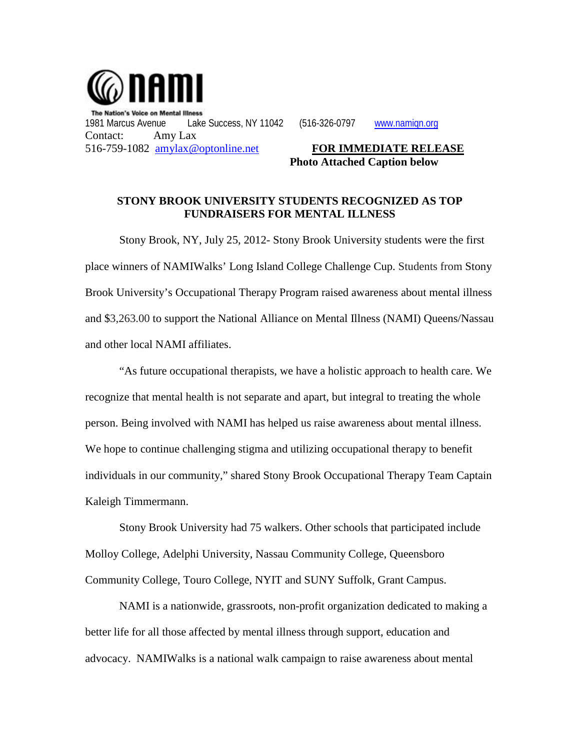

**Photo Attached Caption below**

## **STONY BROOK UNIVERSITY STUDENTS RECOGNIZED AS TOP FUNDRAISERS FOR MENTAL ILLNESS**

Stony Brook, NY, July 25, 2012- Stony Brook University students were the first place winners of NAMIWalks' Long Island College Challenge Cup. Students from Stony Brook University's Occupational Therapy Program raised awareness about mental illness and \$3,263.00 to support the National Alliance on Mental Illness (NAMI) Queens/Nassau and other local NAMI affiliates.

"As future occupational therapists, we have a holistic approach to health care. We recognize that mental health is not separate and apart, but integral to treating the whole person. Being involved with NAMI has helped us raise awareness about mental illness. We hope to continue challenging stigma and utilizing occupational therapy to benefit individuals in our community," shared Stony Brook Occupational Therapy Team Captain Kaleigh Timmermann.

Stony Brook University had 75 walkers. Other schools that participated include Molloy College, Adelphi University, Nassau Community College, Queensboro Community College, Touro College, NYIT and SUNY Suffolk, Grant Campus.

NAMI is a nationwide, grassroots, non-profit organization dedicated to making a better life for all those affected by mental illness through support, education and advocacy. NAMIWalks is a national walk campaign to raise awareness about mental